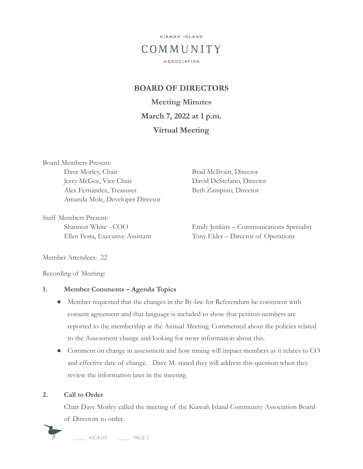

# **BOARD OF DIRECTORS**

**Meeting Minutes March 7, 2022 at 1 p.m. Virtual Meeting**

Board Members Present: Dave Morley, Chair Brad McIlvain, Director Jerry McGee, Vice Chair David DeStefano, Director Alex Fernandez, Treasurer Beth Zampino, Director Amanda Mole, Developer Director

Staff Members Present:

Shannon White - COO Emily Jenkins – Communications Specialist Ellen Festa, Executive Assistant Tony Elder – Director of Operations

Member Attendees: 22

Recording of Meeting:

#### **1. Member Comments – Agenda Topics**

- Member requested that the changes in the By-law for Referendum be consistent with consent agreement and that language is included to show that petition numbers are reported to the membership at the Annual Meeting. Commented about the policies related to the Assessment change and looking for more information about this.
- Comment on change in assessment and how timing will impact members as it relates to CO and effective date of change. Dave M. stated they will address this question when they review the information later in the meeting.

#### **2. Call to Order**

Chair Dave Morley called the meeting of the Kiawah Island Community Association Board of Directors to order.

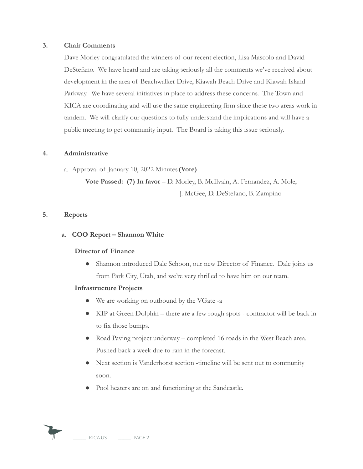### **3. Chair Comments**

Dave Morley congratulated the winners of our recent election, Lisa Mascolo and David DeStefano. We have heard and are taking seriously all the comments we've received about development in the area of Beachwalker Drive, Kiawah Beach Drive and Kiawah Island Parkway. We have several initiatives in place to address these concerns. The Town and KICA are coordinating and will use the same engineering firm since these two areas work in tandem. We will clarify our questions to fully understand the implications and will have a public meeting to get community input. The Board is taking this issue seriously.

#### **4. Administrative**

a. Approval of January 10, 2022 Minutes**(Vote)**

**Vote Passed: (7) In favor** – D. Morley, B. McIlvain, A. Fernandez, A. Mole, J. McGee, D. DeStefano, B. Zampino

#### **5. Reports**

### **a. COO Report – Shannon White**

#### **Director of Finance**

● Shannon introduced Dale Schoon, our new Director of Finance. Dale joins us from Park City, Utah, and we're very thrilled to have him on our team.

#### **Infrastructure Projects**

- We are working on outbound by the VGate -a
- KIP at Green Dolphin there are a few rough spots contractor will be back in to fix those bumps.
- Road Paving project underway completed 16 roads in the West Beach area. Pushed back a week due to rain in the forecast.
- Next section is Vanderhorst section -timeline will be sent out to community soon.
- Pool heaters are on and functioning at the Sandcastle.

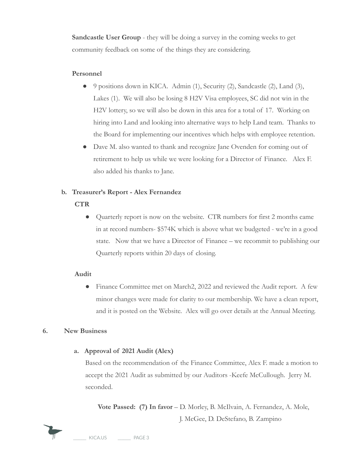**Sandcastle User Group** - they will be doing a survey in the coming weeks to get community feedback on some of the things they are considering.

## **Personnel**

- 9 positions down in KICA. Admin (1), Security (2), Sandcastle (2), Land (3), Lakes (1). We will also be losing 8 H2V Visa employees, SC did not win in the H2V lottery, so we will also be down in this area for a total of 17. Working on hiring into Land and looking into alternative ways to help Land team. Thanks to the Board for implementing our incentives which helps with employee retention.
- Dave M. also wanted to thank and recognize Jane Ovenden for coming out of retirement to help us while we were looking for a Director of Finance. Alex F. also added his thanks to Jane.

# **b. Treasurer's Report - Alex Fernandez**

- **CTR**
	- Quarterly report is now on the website. CTR numbers for first 2 months came in at record numbers- \$574K which is above what we budgeted - we're in a good state. Now that we have a Director of Finance – we recommit to publishing our Quarterly reports within 20 days of closing.

## **Audit**

● Finance Committee met on March2, 2022 and reviewed the Audit report. A few minor changes were made for clarity to our membership. We have a clean report, and it is posted on the Website. Alex will go over details at the Annual Meeting.

## **6. New Business**

## **a. Approval of 2021 Audit (Alex)**

Based on the recommendation of the Finance Committee, Alex F. made a motion to accept the 2021 Audit as submitted by our Auditors -Keefe McCullough. Jerry M. seconded.

**Vote Passed: (7) In favor** – D. Morley, B. McIlvain, A. Fernandez, A. Mole, J. McGee, D. DeStefano, B. Zampino



KICA.US PAGE 3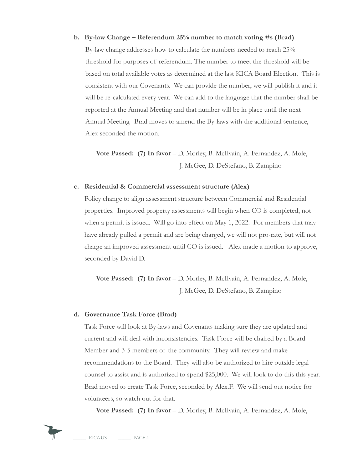**b. By-law Change – Referendum 25% number to match voting #s (Brad)** By-law change addresses how to calculate the numbers needed to reach 25% threshold for purposes of referendum. The number to meet the threshold will be based on total available votes as determined at the last KICA Board Election. This is consistent with our Covenants. We can provide the number, we will publish it and it will be re-calculated every year. We can add to the language that the number shall be reported at the Annual Meeting and that number will be in place until the next Annual Meeting. Brad moves to amend the By-laws with the additional sentence, Alex seconded the motion.

**Vote Passed: (7) In favor** – D. Morley, B. McIlvain, A. Fernandez, A. Mole, J. McGee, D. DeStefano, B. Zampino

#### **c. Residential & Commercial assessment structure (Alex)**

Policy change to align assessment structure between Commercial and Residential properties. Improved property assessments will begin when CO is completed, not when a permit is issued. Will go into effect on May 1, 2022. For members that may have already pulled a permit and are being charged, we will not pro-rate, but will not charge an improved assessment until CO is issued. Alex made a motion to approve, seconded by David D.

**Vote Passed: (7) In favor** – D. Morley, B. McIlvain, A. Fernandez, A. Mole, J. McGee, D. DeStefano, B. Zampino

#### **d. Governance Task Force (Brad)**

Task Force will look at By-laws and Covenants making sure they are updated and current and will deal with inconsistencies. Task Force will be chaired by a Board Member and 3-5 members of the community. They will review and make recommendations to the Board. They will also be authorized to hire outside legal counsel to assist and is authorized to spend \$25,000. We will look to do this this year. Brad moved to create Task Force, seconded by Alex.F. We will send out notice for volunteers, so watch out for that.

**Vote Passed: (7) In favor** – D. Morley, B. McIlvain, A. Fernandez, A. Mole,

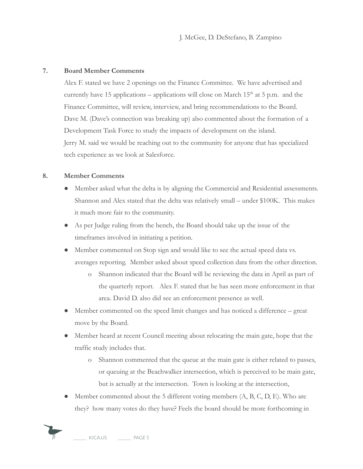J. McGee, D. DeStefano, B. Zampino

## **7. Board Member Comments**

Alex F. stated we have 2 openings on the Finance Committee. We have advertised and currently have 15 applications – applications will close on March  $15<sup>th</sup>$  at 5 p.m. and the Finance Committee, will review, interview, and bring recommendations to the Board. Dave M. (Dave's connection was breaking up) also commented about the formation of a Development Task Force to study the impacts of development on the island. Jerry M. said we would be reaching out to the community for anyone that has specialized tech experience as we look at Salesforce.

#### **8. Member Comments**

- Member asked what the delta is by aligning the Commercial and Residential assessments. Shannon and Alex stated that the delta was relatively small – under \$100K. This makes it much more fair to the community.
- As per Judge ruling from the bench, the Board should take up the issue of the timeframes involved in initiating a petition.
- Member commented on Stop sign and would like to see the actual speed data vs. averages reporting. Member asked about speed collection data from the other direction.
	- o Shannon indicated that the Board will be reviewing the data in April as part of the quarterly report. Alex F. stated that he has seen more enforcement in that area. David D. also did see an enforcement presence as well.
- Member commented on the speed limit changes and has noticed a difference great move by the Board.
- Member heard at recent Council meeting about relocating the main gate, hope that the traffic study includes that.
	- o Shannon commented that the queue at the main gate is either related to passes, or queuing at the Beachwalker intersection, which is perceived to be main gate, but is actually at the intersection. Town is looking at the intersection,
- Member commented about the 5 different voting members  $(A, B, C, D, E)$ . Who are they? how many votes do they have? Feels the board should be more forthcoming in

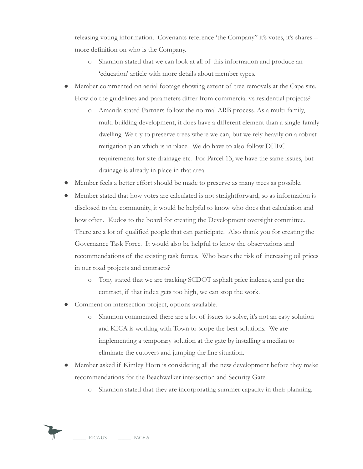releasing voting information. Covenants reference 'the Company" it's votes, it's shares – more definition on who is the Company.

- o Shannon stated that we can look at all of this information and produce an 'education' article with more details about member types.
- Member commented on aerial footage showing extent of tree removals at the Cape site. How do the guidelines and parameters differ from commercial vs residential projects?
	- o Amanda stated Partners follow the normal ARB process. As a multi-family, multi building development, it does have a different element than a single-family dwelling. We try to preserve trees where we can, but we rely heavily on a robust mitigation plan which is in place. We do have to also follow DHEC requirements for site drainage etc. For Parcel 13, we have the same issues, but drainage is already in place in that area.
- Member feels a better effort should be made to preserve as many trees as possible.
- Member stated that how votes are calculated is not straightforward, so as information is disclosed to the community, it would be helpful to know who does that calculation and how often. Kudos to the board for creating the Development oversight committee. There are a lot of qualified people that can participate. Also thank you for creating the Governance Task Force. It would also be helpful to know the observations and recommendations of the existing task forces. Who bears the risk of increasing oil prices in our road projects and contracts?
	- o Tony stated that we are tracking SCDOT asphalt price indexes, and per the contract, if that index gets too high, we can stop the work.
- Comment on intersection project, options available.
	- o Shannon commented there are a lot of issues to solve, it's not an easy solution and KICA is working with Town to scope the best solutions. We are implementing a temporary solution at the gate by installing a median to eliminate the cutovers and jumping the line situation.
- Member asked if Kimley Horn is considering all the new development before they make recommendations for the Beachwalker intersection and Security Gate.
	- o Shannon stated that they are incorporating summer capacity in their planning.